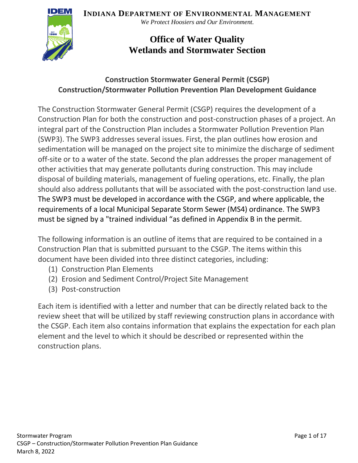**INDIANA DEPARTMENT OF ENVIRONMENTAL MANAGEMENT**



*We Protect Hoosiers and Our Environment.*

# **Office of Water Quality Wetlands and Stormwater Section**

#### **Construction Stormwater General Permit (CSGP) Construction/Stormwater Pollution Prevention Plan Development Guidance**

The Construction Stormwater General Permit (CSGP) requires the development of a Construction Plan for both the construction and post-construction phases of a project. An integral part of the Construction Plan includes a Stormwater Pollution Prevention Plan (SWP3). The SWP3 addresses several issues. First, the plan outlines how erosion and sedimentation will be managed on the project site to minimize the discharge of sediment off-site or to a water of the state. Second the plan addresses the proper management of other activities that may generate pollutants during construction. This may include disposal of building materials, management of fueling operations, etc. Finally, the plan should also address pollutants that will be associated with the post-construction land use. The SWP3 must be developed in accordance with the CSGP, and where applicable, the requirements of a local Municipal Separate Storm Sewer (MS4) ordinance. The SWP3 must be signed by a "trained individual "as defined in Appendix B in the permit.

The following information is an outline of items that are required to be contained in a Construction Plan that is submitted pursuant to the CSGP. The items within this document have been divided into three distinct categories, including:

- (1) Construction Plan Elements
- (2) Erosion and Sediment Control/Project Site Management
- (3) Post-construction

Each item is identified with a letter and number that can be directly related back to the review sheet that will be utilized by staff reviewing construction plans in accordance with the CSGP. Each item also contains information that explains the expectation for each plan element and the level to which it should be described or represented within the construction plans.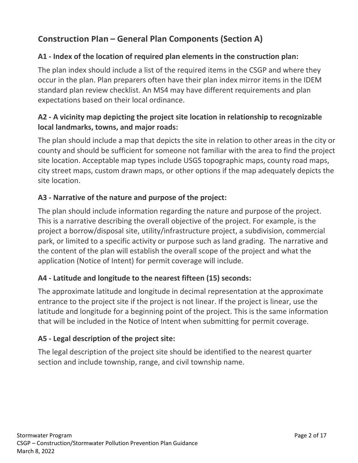# **Construction Plan – General Plan Components (Section A)**

## **A1 - Index of the location of required plan elements in the construction plan:**

The plan index should include a list of the required items in the CSGP and where they occur in the plan. Plan preparers often have their plan index mirror items in the IDEM standard plan review checklist. An MS4 may have different requirements and plan expectations based on their local ordinance.

## **A2 - A vicinity map depicting the project site location in relationship to recognizable local landmarks, towns, and major roads:**

The plan should include a map that depicts the site in relation to other areas in the city or county and should be sufficient for someone not familiar with the area to find the project site location. Acceptable map types include USGS topographic maps, county road maps, city street maps, custom drawn maps, or other options if the map adequately depicts the site location.

## **A3 - Narrative of the nature and purpose of the project:**

The plan should include information regarding the nature and purpose of the project. This is a narrative describing the overall objective of the project. For example, is the project a borrow/disposal site, utility/infrastructure project, a subdivision, commercial park, or limited to a specific activity or purpose such as land grading. The narrative and the content of the plan will establish the overall scope of the project and what the application (Notice of Intent) for permit coverage will include.

#### **A4 - Latitude and longitude to the nearest fifteen (15) seconds:**

The approximate latitude and longitude in decimal representation at the approximate entrance to the project site if the project is not linear. If the project is linear, use the latitude and longitude for a beginning point of the project. This is the same information that will be included in the Notice of Intent when submitting for permit coverage.

#### **A5 - Legal description of the project site:**

The legal description of the project site should be identified to the nearest quarter section and include township, range, and civil township name.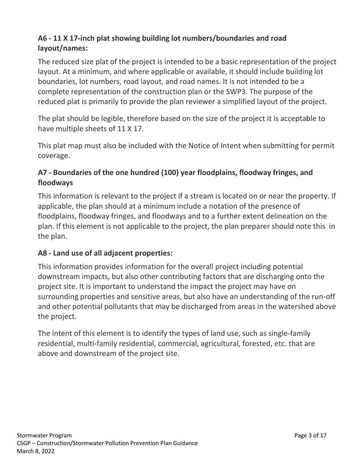# **A6 - 11 X 17-inch plat showing building lot numbers/boundaries and road layout/names:**

The reduced size plat of the project is intended to be a basic representation of the project layout. At a minimum, and where applicable or available, it should include building lot boundaries, lot numbers, road layout, and road names. It is not intended to be a complete representation of the construction plan or the SWP3. The purpose of the reduced plat is primarily to provide the plan reviewer a simplified layout of the project.

The plat should be legible, therefore based on the size of the project it is acceptable to have multiple sheets of 11 X 17.

This plat map must also be included with the Notice of Intent when submitting for permit coverage.

## **A7 - Boundaries of the one hundred (100) year floodplains, floodway fringes, and floodways**

This information is relevant to the project if a stream is located on or near the property. If applicable, the plan should at a minimum include a notation of the presence of floodplains, floodway fringes, and floodways and to a further extent delineation on the plan. If this element is not applicable to the project, the plan preparer should note this in the plan.

#### **A8 - Land use of all adjacent properties:**

This information provides information for the overall project including potential downstream impacts, but also other contributing factors that are discharging onto the project site. It is important to understand the impact the project may have on surrounding properties and sensitive areas, but also have an understanding of the run-off and other potential pollutants that may be discharged from areas in the watershed above the project.

The intent of this element is to identify the types of land use, such as single-family residential, multi-family residential, commercial, agricultural, forested, etc. that are above and downstream of the project site.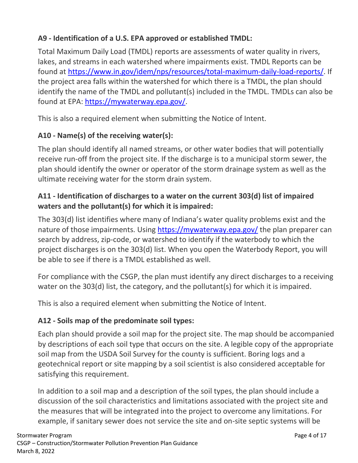# **A9 - Identification of a U.S. EPA approved or established TMDL:**

Total Maximum Daily Load (TMDL) reports are assessments of water quality in rivers, lakes, and streams in each watershed where impairments exist. TMDL Reports can be found at [https://www.in.gov/idem/nps/resources/total-maximum-daily-load-reports/.](https://www.in.gov/idem/nps/resources/total-maximum-daily-load-reports/) If the project area falls within the watershed for which there is a TMDL, the plan should identify the name of the TMDL and pollutant(s) included in the TMDL. TMDLs can also be found at EPA: [https://mywaterway.epa.gov/.](https://mywaterway.epa.gov/)

This is also a required element when submitting the Notice of Intent.

# **A10 - Name(s) of the receiving water(s):**

The plan should identify all named streams, or other water bodies that will potentially receive run-off from the project site. If the discharge is to a municipal storm sewer, the plan should identify the owner or operator of the storm drainage system as well as the ultimate receiving water for the storm drain system.

# **A11 - Identification of discharges to a water on the current 303(d) list of impaired waters and the pollutant(s) for which it is impaired:**

The 303(d) list identifies where many of Indiana's water quality problems exist and the nature of those impairments. Using <https://mywaterway.epa.gov/> the plan preparer can search by address, zip-code, or watershed to identify if the waterbody to which the project discharges is on the 303(d) list. When you open the Waterbody Report, you will be able to see if there is a TMDL established as well.

For compliance with the CSGP, the plan must identify any direct discharges to a receiving water on the 303(d) list, the category, and the pollutant(s) for which it is impaired.

This is also a required element when submitting the Notice of Intent.

# **A12 - Soils map of the predominate soil types:**

Each plan should provide a soil map for the project site. The map should be accompanied by descriptions of each soil type that occurs on the site. A legible copy of the appropriate soil map from the USDA Soil Survey for the county is sufficient. Boring logs and a geotechnical report or site mapping by a soil scientist is also considered acceptable for satisfying this requirement.

In addition to a soil map and a description of the soil types, the plan should include a discussion of the soil characteristics and limitations associated with the project site and the measures that will be integrated into the project to overcome any limitations. For example, if sanitary sewer does not service the site and on-site septic systems will be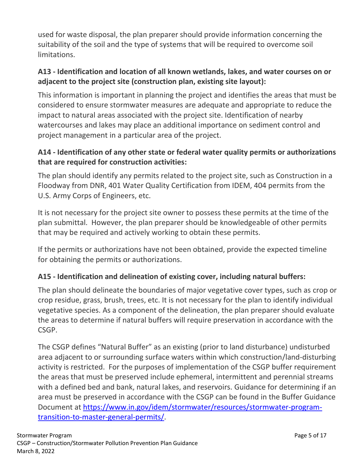used for waste disposal, the plan preparer should provide information concerning the suitability of the soil and the type of systems that will be required to overcome soil limitations.

#### **A13 - Identification and location of all known wetlands, lakes, and water courses on or adjacent to the project site (construction plan, existing site layout):**

This information is important in planning the project and identifies the areas that must be considered to ensure stormwater measures are adequate and appropriate to reduce the impact to natural areas associated with the project site. Identification of nearby watercourses and lakes may place an additional importance on sediment control and project management in a particular area of the project.

## **A14 - Identification of any other state or federal water quality permits or authorizations that are required for construction activities:**

The plan should identify any permits related to the project site, such as Construction in a Floodway from DNR, 401 Water Quality Certification from IDEM, 404 permits from the U.S. Army Corps of Engineers, etc.

It is not necessary for the project site owner to possess these permits at the time of the plan submittal. However, the plan preparer should be knowledgeable of other permits that may be required and actively working to obtain these permits.

If the permits or authorizations have not been obtained, provide the expected timeline for obtaining the permits or authorizations.

# **A15 - Identification and delineation of existing cover, including natural buffers:**

The plan should delineate the boundaries of major vegetative cover types, such as crop or crop residue, grass, brush, trees, etc. It is not necessary for the plan to identify individual vegetative species. As a component of the delineation, the plan preparer should evaluate the areas to determine if natural buffers will require preservation in accordance with the CSGP.

The CSGP defines "Natural Buffer" as an existing (prior to land disturbance) undisturbed area adjacent to or surrounding surface waters within which construction/land-disturbing activity is restricted. For the purposes of implementation of the CSGP buffer requirement the areas that must be preserved include ephemeral, intermittent and perennial streams with a defined bed and bank, natural lakes, and reservoirs. Guidance for determining if an area must be preserved in accordance with the CSGP can be found in the Buffer Guidance Document at [https://www.in.gov/idem/stormwater/resources/stormwater-program](https://www.in.gov/idem/stormwater/resources/stormwater-program-transition-to-master-general-permits/)[transition-to-master-general-permits/.](https://www.in.gov/idem/stormwater/resources/stormwater-program-transition-to-master-general-permits/)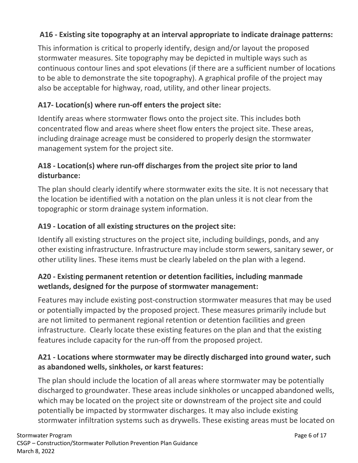#### **A16 - Existing site topography at an interval appropriate to indicate drainage patterns:**

This information is critical to properly identify, design and/or layout the proposed stormwater measures. Site topography may be depicted in multiple ways such as continuous contour lines and spot elevations (if there are a sufficient number of locations to be able to demonstrate the site topography). A graphical profile of the project may also be acceptable for highway, road, utility, and other linear projects.

#### **A17- Location(s) where run-off enters the project site:**

Identify areas where stormwater flows onto the project site. This includes both concentrated flow and areas where sheet flow enters the project site. These areas, including drainage acreage must be considered to properly design the stormwater management system for the project site.

#### **A18 - Location(s) where run-off discharges from the project site prior to land disturbance:**

The plan should clearly identify where stormwater exits the site. It is not necessary that the location be identified with a notation on the plan unless it is not clear from the topographic or storm drainage system information.

#### **A19 - Location of all existing structures on the project site:**

Identify all existing structures on the project site, including buildings, ponds, and any other existing infrastructure. Infrastructure may include storm sewers, sanitary sewer, or other utility lines. These items must be clearly labeled on the plan with a legend.

## **A20 - Existing permanent retention or detention facilities, including manmade wetlands, designed for the purpose of stormwater management:**

Features may include existing post-construction stormwater measures that may be used or potentially impacted by the proposed project. These measures primarily include but are not limited to permanent regional retention or detention facilities and green infrastructure. Clearly locate these existing features on the plan and that the existing features include capacity for the run-off from the proposed project.

#### **A21 - Locations where stormwater may be directly discharged into ground water, such as abandoned wells, sinkholes, or karst features:**

The plan should include the location of all areas where stormwater may be potentially discharged to groundwater. These areas include sinkholes or uncapped abandoned wells, which may be located on the project site or downstream of the project site and could potentially be impacted by stormwater discharges. It may also include existing stormwater infiltration systems such as drywells. These existing areas must be located on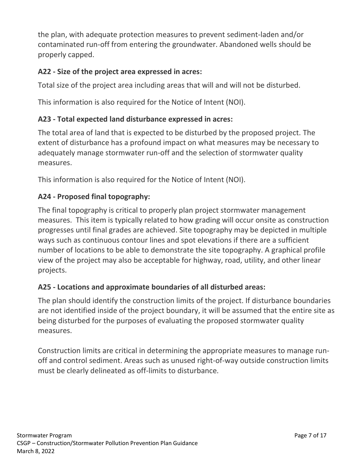the plan, with adequate protection measures to prevent sediment-laden and/or contaminated run-off from entering the groundwater. Abandoned wells should be properly capped.

#### **A22 - Size of the project area expressed in acres:**

Total size of the project area including areas that will and will not be disturbed.

This information is also required for the Notice of Intent (NOI).

## **A23 - Total expected land disturbance expressed in acres:**

The total area of land that is expected to be disturbed by the proposed project. The extent of disturbance has a profound impact on what measures may be necessary to adequately manage stormwater run-off and the selection of stormwater quality measures.

This information is also required for the Notice of Intent (NOI).

## **A24 - Proposed final topography:**

The final topography is critical to properly plan project stormwater management measures. This item is typically related to how grading will occur onsite as construction progresses until final grades are achieved. Site topography may be depicted in multiple ways such as continuous contour lines and spot elevations if there are a sufficient number of locations to be able to demonstrate the site topography. A graphical profile view of the project may also be acceptable for highway, road, utility, and other linear projects.

#### **A25 - Locations and approximate boundaries of all disturbed areas:**

The plan should identify the construction limits of the project. If disturbance boundaries are not identified inside of the project boundary, it will be assumed that the entire site as being disturbed for the purposes of evaluating the proposed stormwater quality measures.

Construction limits are critical in determining the appropriate measures to manage runoff and control sediment. Areas such as unused right-of-way outside construction limits must be clearly delineated as off-limits to disturbance.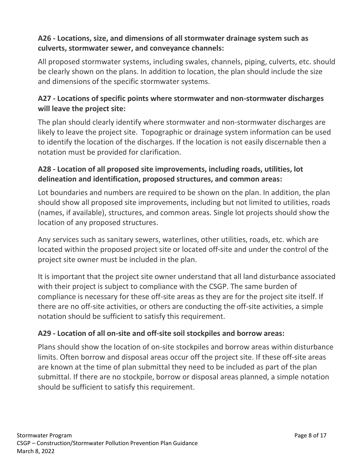#### **A26 - Locations, size, and dimensions of all stormwater drainage system such as culverts, stormwater sewer, and conveyance channels:**

All proposed stormwater systems, including swales, channels, piping, culverts, etc. should be clearly shown on the plans. In addition to location, the plan should include the size and dimensions of the specific stormwater systems.

## **A27 - Locations of specific points where stormwater and non-stormwater discharges will leave the project site:**

The plan should clearly identify where stormwater and non-stormwater discharges are likely to leave the project site. Topographic or drainage system information can be used to identify the location of the discharges. If the location is not easily discernable then a notation must be provided for clarification.

#### **A28 - Location of all proposed site improvements, including roads, utilities, lot delineation and identification, proposed structures, and common areas:**

Lot boundaries and numbers are required to be shown on the plan. In addition, the plan should show all proposed site improvements, including but not limited to utilities, roads (names, if available), structures, and common areas. Single lot projects should show the location of any proposed structures.

Any services such as sanitary sewers, waterlines, other utilities, roads, etc. which are located within the proposed project site or located off-site and under the control of the project site owner must be included in the plan.

It is important that the project site owner understand that all land disturbance associated with their project is subject to compliance with the CSGP. The same burden of compliance is necessary for these off-site areas as they are for the project site itself. If there are no off-site activities, or others are conducting the off-site activities, a simple notation should be sufficient to satisfy this requirement.

#### **A29 - Location of all on-site and off-site soil stockpiles and borrow areas:**

Plans should show the location of on-site stockpiles and borrow areas within disturbance limits. Often borrow and disposal areas occur off the project site. If these off-site areas are known at the time of plan submittal they need to be included as part of the plan submittal. If there are no stockpile, borrow or disposal areas planned, a simple notation should be sufficient to satisfy this requirement.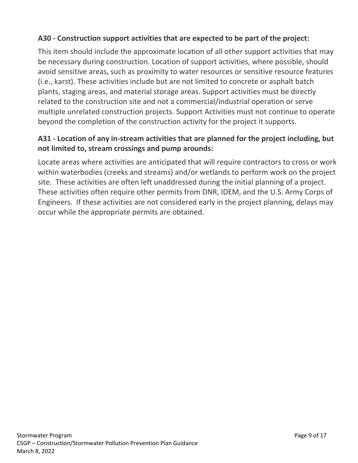#### **A30 - Construction support activities that are expected to be part of the project:**

This item should include the approximate location of all other support activities that may be necessary during construction. Location of support activities, where possible, should avoid sensitive areas, such as proximity to water resources or sensitive resource features (i.e., karst). These activities include but are not limited to concrete or asphalt batch plants, staging areas, and material storage areas. Support activities must be directly related to the construction site and not a commercial/industrial operation or serve multiple unrelated construction projects. Support Activities must not continue to operate beyond the completion of the construction activity for the project it supports.

## **A31 - Location of any in-stream activities that are planned for the project including, but not limited to, stream crossings and pump arounds:**

Locate areas where activities are anticipated that will require contractors to cross or work within waterbodies (creeks and streams) and/or wetlands to perform work on the project site. These activities are often left unaddressed during the initial planning of a project. These activities often require other permits from DNR, IDEM, and the U.S. Army Corps of Engineers. If these activities are not considered early in the project planning, delays may occur while the appropriate permits are obtained.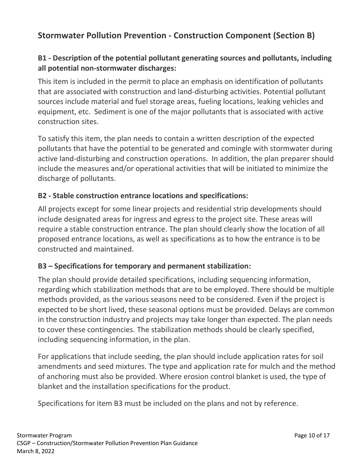# **Stormwater Pollution Prevention - Construction Component (Section B)**

#### **B1 - Description of the potential pollutant generating sources and pollutants, including all potential non-stormwater discharges:**

This item is included in the permit to place an emphasis on identification of pollutants that are associated with construction and land-disturbing activities. Potential pollutant sources include material and fuel storage areas, fueling locations, leaking vehicles and equipment, etc. Sediment is one of the major pollutants that is associated with active construction sites.

To satisfy this item, the plan needs to contain a written description of the expected pollutants that have the potential to be generated and comingle with stormwater during active land-disturbing and construction operations. In addition, the plan preparer should include the measures and/or operational activities that will be initiated to minimize the discharge of pollutants.

#### **B2 - Stable construction entrance locations and specifications:**

All projects except for some linear projects and residential strip developments should include designated areas for ingress and egress to the project site. These areas will require a stable construction entrance. The plan should clearly show the location of all proposed entrance locations, as well as specifications as to how the entrance is to be constructed and maintained.

#### **B3 – Specifications for temporary and permanent stabilization:**

The plan should provide detailed specifications, including sequencing information, regarding which stabilization methods that are to be employed. There should be multiple methods provided, as the various seasons need to be considered. Even if the project is expected to be short lived, these seasonal options must be provided. Delays are common in the construction industry and projects may take longer than expected. The plan needs to cover these contingencies. The stabilization methods should be clearly specified, including sequencing information, in the plan.

For applications that include seeding, the plan should include application rates for soil amendments and seed mixtures. The type and application rate for mulch and the method of anchoring must also be provided. Where erosion control blanket is used, the type of blanket and the installation specifications for the product.

Specifications for item B3 must be included on the plans and not by reference.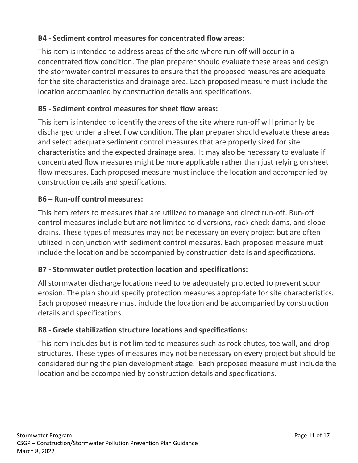#### **B4 - Sediment control measures for concentrated flow areas:**

This item is intended to address areas of the site where run-off will occur in a concentrated flow condition. The plan preparer should evaluate these areas and design the stormwater control measures to ensure that the proposed measures are adequate for the site characteristics and drainage area. Each proposed measure must include the location accompanied by construction details and specifications.

#### **B5 - Sediment control measures for sheet flow areas:**

This item is intended to identify the areas of the site where run-off will primarily be discharged under a sheet flow condition. The plan preparer should evaluate these areas and select adequate sediment control measures that are properly sized for site characteristics and the expected drainage area. It may also be necessary to evaluate if concentrated flow measures might be more applicable rather than just relying on sheet flow measures. Each proposed measure must include the location and accompanied by construction details and specifications.

#### **B6 – Run-off control measures:**

This item refers to measures that are utilized to manage and direct run-off. Run-off control measures include but are not limited to diversions, rock check dams, and slope drains. These types of measures may not be necessary on every project but are often utilized in conjunction with sediment control measures. Each proposed measure must include the location and be accompanied by construction details and specifications.

#### **B7 - Stormwater outlet protection location and specifications:**

All stormwater discharge locations need to be adequately protected to prevent scour erosion. The plan should specify protection measures appropriate for site characteristics. Each proposed measure must include the location and be accompanied by construction details and specifications.

#### **B8 - Grade stabilization structure locations and specifications:**

This item includes but is not limited to measures such as rock chutes, toe wall, and drop structures. These types of measures may not be necessary on every project but should be considered during the plan development stage. Each proposed measure must include the location and be accompanied by construction details and specifications.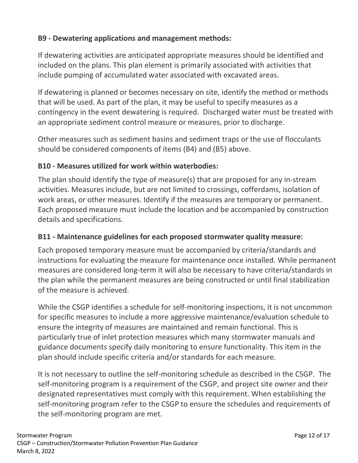#### **B9 - Dewatering applications and management methods:**

If dewatering activities are anticipated appropriate measures should be identified and included on the plans. This plan element is primarily associated with activities that include pumping of accumulated water associated with excavated areas.

If dewatering is planned or becomes necessary on site, identify the method or methods that will be used. As part of the plan, it may be useful to specify measures as a contingency in the event dewatering is required. Discharged water must be treated with an appropriate sediment control measure or measures, prior to discharge.

Other measures such as sediment basins and sediment traps or the use of flocculants should be considered components of items (B4) and (B5) above.

#### **B10 - Measures utilized for work within waterbodies:**

The plan should identify the type of measure(s) that are proposed for any in-stream activities. Measures include, but are not limited to crossings, cofferdams, isolation of work areas, or other measures. Identify if the measures are temporary or permanent. Each proposed measure must include the location and be accompanied by construction details and specifications.

#### **B11 - Maintenance guidelines for each proposed stormwater quality measure:**

Each proposed temporary measure must be accompanied by criteria/standards and instructions for evaluating the measure for maintenance once installed. While permanent measures are considered long-term it will also be necessary to have criteria/standards in the plan while the permanent measures are being constructed or until final stabilization of the measure is achieved.

While the CSGP identifies a schedule for self-monitoring inspections, it is not uncommon for specific measures to include a more aggressive maintenance/evaluation schedule to ensure the integrity of measures are maintained and remain functional. This is particularly true of inlet protection measures which many stormwater manuals and guidance documents specify daily monitoring to ensure functionality. This item in the plan should include specific criteria and/or standards for each measure.

It is not necessary to outline the self-monitoring schedule as described in the CSGP. The self-monitoring program is a requirement of the CSGP, and project site owner and their designated representatives must comply with this requirement. When establishing the self-monitoring program refer to the CSGP to ensure the schedules and requirements of the self-monitoring program are met.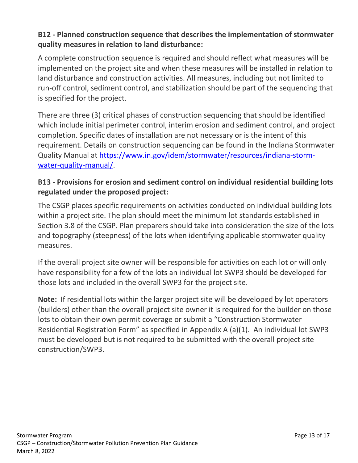#### **B12 - Planned construction sequence that describes the implementation of stormwater quality measures in relation to land disturbance:**

A complete construction sequence is required and should reflect what measures will be implemented on the project site and when these measures will be installed in relation to land disturbance and construction activities. All measures, including but not limited to run-off control, sediment control, and stabilization should be part of the sequencing that is specified for the project.

There are three (3) critical phases of construction sequencing that should be identified which include initial perimeter control, interim erosion and sediment control, and project completion. Specific dates of installation are not necessary or is the intent of this requirement. Details on construction sequencing can be found in the Indiana Stormwater Quality Manual at [https://www.in.gov/idem/stormwater/resources/indiana-storm](https://www.in.gov/idem/stormwater/resources/indiana-storm-water-quality-manual/)[water-quality-manual/.](https://www.in.gov/idem/stormwater/resources/indiana-storm-water-quality-manual/)

#### **B13 - Provisions for erosion and sediment control on individual residential building lots regulated under the proposed project:**

The CSGP places specific requirements on activities conducted on individual building lots within a project site. The plan should meet the minimum lot standards established in Section 3.8 of the CSGP. Plan preparers should take into consideration the size of the lots and topography (steepness) of the lots when identifying applicable stormwater quality measures.

If the overall project site owner will be responsible for activities on each lot or will only have responsibility for a few of the lots an individual lot SWP3 should be developed for those lots and included in the overall SWP3 for the project site.

**Note:** If residential lots within the larger project site will be developed by lot operators (builders) other than the overall project site owner it is required for the builder on those lots to obtain their own permit coverage or submit a "Construction Stormwater Residential Registration Form" as specified in Appendix A (a)(1). An individual lot SWP3 must be developed but is not required to be submitted with the overall project site construction/SWP3.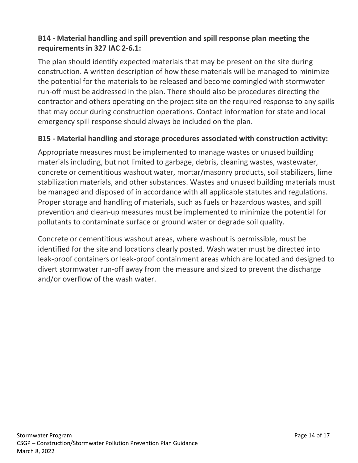## **B14 - Material handling and spill prevention and spill response plan meeting the requirements in 327 IAC 2-6.1:**

The plan should identify expected materials that may be present on the site during construction. A written description of how these materials will be managed to minimize the potential for the materials to be released and become comingled with stormwater run-off must be addressed in the plan. There should also be procedures directing the contractor and others operating on the project site on the required response to any spills that may occur during construction operations. Contact information for state and local emergency spill response should always be included on the plan.

#### **B15 - Material handling and storage procedures associated with construction activity:**

Appropriate measures must be implemented to manage wastes or unused building materials including, but not limited to garbage, debris, cleaning wastes, wastewater, concrete or cementitious washout water, mortar/masonry products, soil stabilizers, lime stabilization materials, and other substances. Wastes and unused building materials must be managed and disposed of in accordance with all applicable statutes and regulations. Proper storage and handling of materials, such as fuels or hazardous wastes, and spill prevention and clean-up measures must be implemented to minimize the potential for pollutants to contaminate surface or ground water or degrade soil quality.

Concrete or cementitious washout areas, where washout is permissible, must be identified for the site and locations clearly posted. Wash water must be directed into leak-proof containers or leak-proof containment areas which are located and designed to divert stormwater run-off away from the measure and sized to prevent the discharge and/or overflow of the wash water.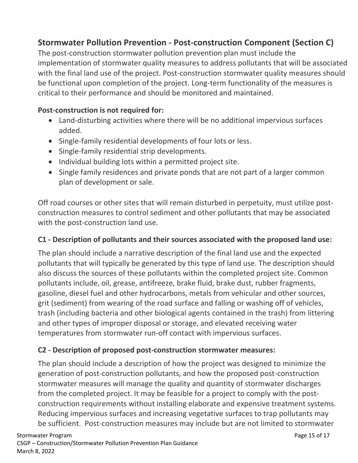# **Stormwater Pollution Prevention - Post-construction Component (Section C)**

The post-construction stormwater pollution prevention plan must include the implementation of stormwater quality measures to address pollutants that will be associated with the final land use of the project. Post-construction stormwater quality measures should be functional upon completion of the project. Long-term functionality of the measures is critical to their performance and should be monitored and maintained.

#### **Post-construction is not required for:**

- Land-disturbing activities where there will be no additional impervious surfaces added.
- Single-family residential developments of four lots or less.
- Single-family residential strip developments.
- Individual building lots within a permitted project site.
- Single family residences and private ponds that are not part of a larger common plan of development or sale.

Off road courses or other sites that will remain disturbed in perpetuity, must utilize postconstruction measures to control sediment and other pollutants that may be associated with the post-construction land use.

#### **C1 - Description of pollutants and their sources associated with the proposed land use:**

The plan should include a narrative description of the final land use and the expected pollutants that will typically be generated by this type of land use. The description should also discuss the sources of these pollutants within the completed project site. Common pollutants include, oil, grease, antifreeze, brake fluid, brake dust, rubber fragments, gasoline, diesel fuel and other hydrocarbons, metals from vehicular and other sources, grit (sediment) from wearing of the road surface and falling or washing off of vehicles, trash (including bacteria and other biological agents contained in the trash) from littering and other types of improper disposal or storage, and elevated receiving water temperatures from stormwater run-off contact with impervious surfaces.

#### **C2 - Description of proposed post-construction stormwater measures:**

The plan should include a description of how the project was designed to minimize the generation of post-construction pollutants, and how the proposed post-construction stormwater measures will manage the quality and quantity of stormwater discharges from the completed project. It may be feasible for a project to comply with the postconstruction requirements without installing elaborate and expensive treatment systems. Reducing impervious surfaces and increasing vegetative surfaces to trap pollutants may be sufficient. Post-construction measures may include but are not limited to stormwater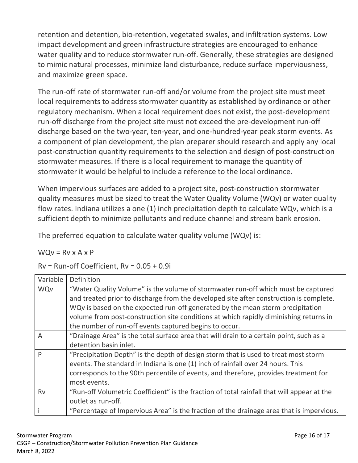retention and detention, bio-retention, vegetated swales, and infiltration systems. Low impact development and green infrastructure strategies are encouraged to enhance water quality and to reduce stormwater run-off. Generally, these strategies are designed to mimic natural processes, minimize land disturbance, reduce surface imperviousness, and maximize green space.

The run-off rate of stormwater run-off and/or volume from the project site must meet local requirements to address stormwater quantity as established by ordinance or other regulatory mechanism. When a local requirement does not exist, the post-development run-off discharge from the project site must not exceed the pre-development run-off discharge based on the two-year, ten-year, and one-hundred-year peak storm events. As a component of plan development, the plan preparer should research and apply any local post-construction quantity requirements to the selection and design of post-construction stormwater measures. If there is a local requirement to manage the quantity of stormwater it would be helpful to include a reference to the local ordinance.

When impervious surfaces are added to a project site, post-construction stormwater quality measures must be sized to treat the Water Quality Volume (WQv) or water quality flow rates. Indiana utilizes a one (1) inch precipitation depth to calculate WQv, which is a sufficient depth to minimize pollutants and reduce channel and stream bank erosion.

The preferred equation to calculate water quality volume (WQv) is:

 $WQv = Rv \times A \times P$ 

 $Rv = Run-off Coefficient, RV = 0.05 + 0.9i$ 

| Variable       | Definition                                                                                 |
|----------------|--------------------------------------------------------------------------------------------|
| <b>WQv</b>     | "Water Quality Volume" is the volume of stormwater run-off which must be captured          |
|                | and treated prior to discharge from the developed site after construction is complete.     |
|                | WQv is based on the expected run-off generated by the mean storm precipitation             |
|                | volume from post-construction site conditions at which rapidly diminishing returns in      |
|                | the number of run-off events captured begins to occur.                                     |
| $\overline{A}$ | "Drainage Area" is the total surface area that will drain to a certain point, such as a    |
|                | detention basin inlet.                                                                     |
| P              | "Precipitation Depth" is the depth of design storm that is used to treat most storm        |
|                | events. The standard in Indiana is one (1) inch of rainfall over 24 hours. This            |
|                | corresponds to the 90th percentile of events, and therefore, provides treatment for        |
|                | most events.                                                                               |
| <b>Rv</b>      | "Run-off Volumetric Coefficient" is the fraction of total rainfall that will appear at the |
|                | outlet as run-off.                                                                         |
|                | "Percentage of Impervious Area" is the fraction of the drainage area that is impervious.   |